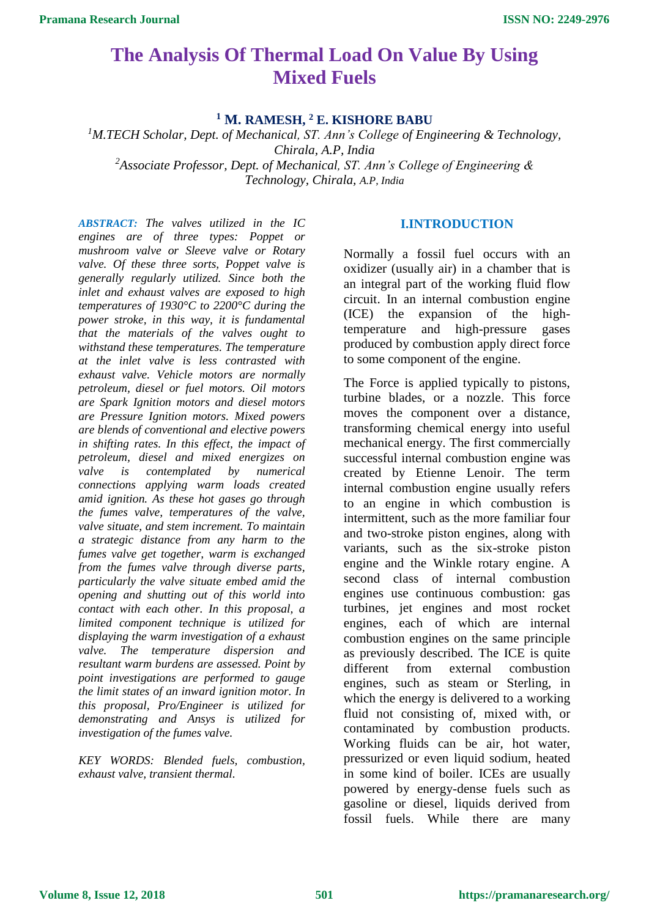# **The Analysis Of Thermal Load On Value By Using Mixed Fuels**

**<sup>1</sup> M. RAMESH, <sup>2</sup> E. KISHORE BABU**

*<sup>1</sup>M.TECH Scholar, Dept. of Mechanical, ST. Ann's College of Engineering & Technology, Chirala, A.P, India <sup>2</sup>Associate Professor, Dept. of Mechanical, ST. Ann's College of Engineering & Technology, Chirala, A.P, India*

*ABSTRACT: The valves utilized in the IC engines are of three types: Poppet or mushroom valve or Sleeve valve or Rotary valve. Of these three sorts, Poppet valve is generally regularly utilized. Since both the inlet and exhaust valves are exposed to high temperatures of 1930°C to 2200°C during the power stroke, in this way, it is fundamental that the materials of the valves ought to withstand these temperatures. The temperature at the inlet valve is less contrasted with exhaust valve. Vehicle motors are normally petroleum, diesel or fuel motors. Oil motors are Spark Ignition motors and diesel motors are Pressure Ignition motors. Mixed powers are blends of conventional and elective powers in shifting rates. In this effect, the impact of petroleum, diesel and mixed energizes on valve is contemplated by numerical connections applying warm loads created amid ignition. As these hot gases go through the fumes valve, temperatures of the valve, valve situate, and stem increment. To maintain a strategic distance from any harm to the fumes valve get together, warm is exchanged from the fumes valve through diverse parts, particularly the valve situate embed amid the opening and shutting out of this world into contact with each other. In this proposal, a limited component technique is utilized for displaying the warm investigation of a exhaust valve. The temperature dispersion and resultant warm burdens are assessed. Point by point investigations are performed to gauge the limit states of an inward ignition motor. In this proposal, Pro/Engineer is utilized for demonstrating and Ansys is utilized for investigation of the fumes valve.*

*KEY WORDS: Blended fuels, combustion, exhaust valve, transient thermal.*

## **I.INTRODUCTION**

Normally a fossil fuel occurs with an oxidizer (usually air) in a chamber that is an integral part of the working fluid flow circuit. In an internal combustion engine (ICE) the expansion of the hightemperature and high-pressure gases produced by combustion apply direct force to some component of the engine.

The Force is applied typically to pistons, turbine blades, or a nozzle. This force moves the component over a distance, transforming chemical energy into useful mechanical energy. The first commercially successful internal combustion engine was created by Etienne Lenoir. The term internal combustion engine usually refers to an engine in which combustion is intermittent, such as the more familiar four and two-stroke piston engines, along with variants, such as the six-stroke piston engine and the Winkle rotary engine. A second class of internal combustion engines use continuous combustion: gas turbines, jet engines and most rocket engines, each of which are internal combustion engines on the same principle as previously described. The ICE is quite different from external combustion engines, such as steam or Sterling, in which the energy is delivered to a working fluid not consisting of, mixed with, or contaminated by combustion products. Working fluids can be air, hot water, pressurized or even liquid sodium, heated in some kind of boiler. ICEs are usually powered by energy-dense fuels such as gasoline or diesel, liquids derived from fossil fuels. While there are many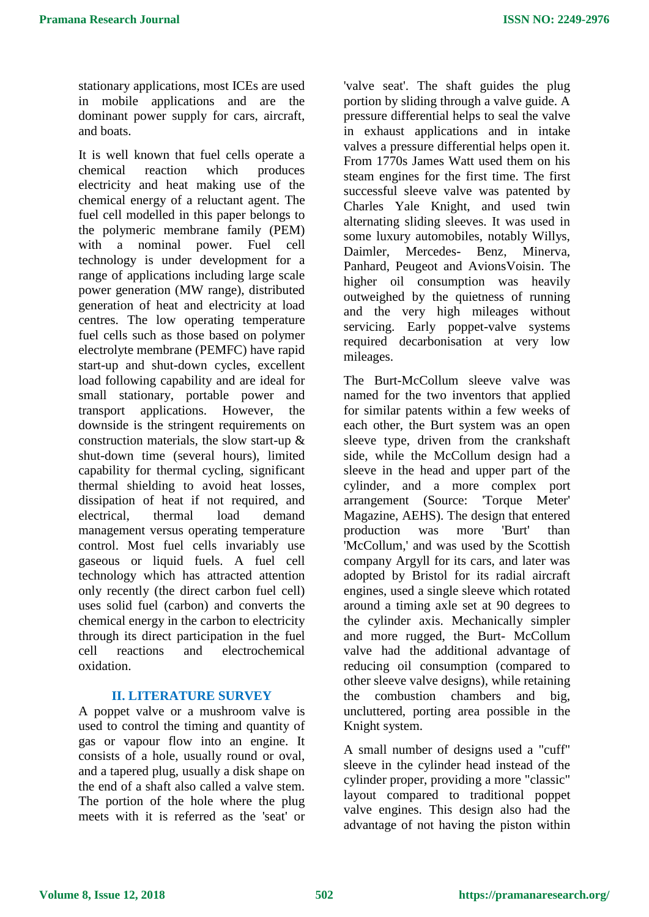stationary applications, most ICEs are used in mobile applications and are the dominant power supply for cars, aircraft, and boats.

It is well known that fuel cells operate a chemical reaction which produces electricity and heat making use of the chemical energy of a reluctant agent. The fuel cell modelled in this paper belongs to the polymeric membrane family (PEM) with a nominal power. Fuel cell technology is under development for a range of applications including large scale power generation (MW range), distributed generation of heat and electricity at load centres. The low operating temperature fuel cells such as those based on polymer electrolyte membrane (PEMFC) have rapid start-up and shut-down cycles, excellent load following capability and are ideal for small stationary, portable power and transport applications. However, the downside is the stringent requirements on construction materials, the slow start-up & shut-down time (several hours), limited capability for thermal cycling, significant thermal shielding to avoid heat losses, dissipation of heat if not required, and electrical, thermal load demand management versus operating temperature control. Most fuel cells invariably use gaseous or liquid fuels. A fuel cell technology which has attracted attention only recently (the direct carbon fuel cell) uses solid fuel (carbon) and converts the chemical energy in the carbon to electricity through its direct participation in the fuel cell reactions and electrochemical oxidation.

### **II. LITERATURE SURVEY**

A poppet valve or a mushroom valve is used to control the timing and quantity of gas or vapour flow into an engine. It consists of a hole, usually round or oval, and a tapered plug, usually a disk shape on the end of a shaft also called a valve stem. The portion of the hole where the plug meets with it is referred as the 'seat' or 'valve seat'. The shaft guides the plug portion by sliding through a valve guide. A pressure differential helps to seal the valve in exhaust applications and in intake valves a pressure differential helps open it. From 1770s James Watt used them on his steam engines for the first time. The first successful sleeve valve was patented by Charles Yale Knight, and used twin alternating sliding sleeves. It was used in some luxury automobiles, notably Willys, Daimler, Mercedes- Benz, Minerva, Panhard, Peugeot and AvionsVoisin. The higher oil consumption was heavily outweighed by the quietness of running and the very high mileages without servicing. Early poppet-valve systems required decarbonisation at very low mileages.

The Burt-McCollum sleeve valve was named for the two inventors that applied for similar patents within a few weeks of each other, the Burt system was an open sleeve type, driven from the crankshaft side, while the McCollum design had a sleeve in the head and upper part of the cylinder, and a more complex port arrangement (Source: 'Torque Meter' Magazine, AEHS). The design that entered production was more 'Burt' than 'McCollum,' and was used by the Scottish company Argyll for its cars, and later was adopted by Bristol for its radial aircraft engines, used a single sleeve which rotated around a timing axle set at 90 degrees to the cylinder axis. Mechanically simpler and more rugged, the Burt- McCollum valve had the additional advantage of reducing oil consumption (compared to other sleeve valve designs), while retaining the combustion chambers and big, uncluttered, porting area possible in the Knight system.

A small number of designs used a "cuff" sleeve in the cylinder head instead of the cylinder proper, providing a more "classic" layout compared to traditional poppet valve engines. This design also had the advantage of not having the piston within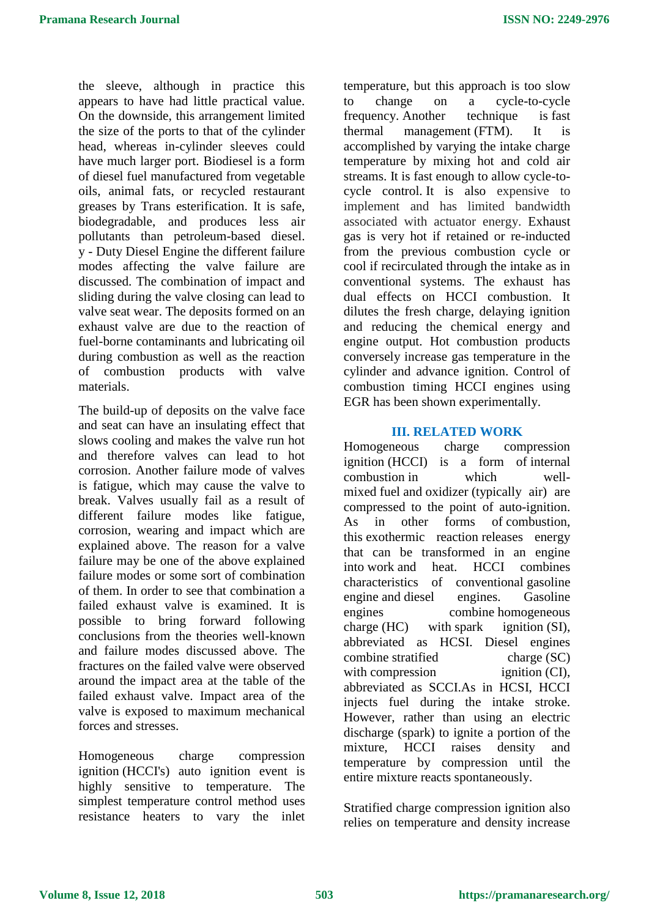the sleeve, although in practice this appears to have had little practical value. On the downside, this arrangement limited the size of the ports to that of the cylinder head, whereas in-cylinder sleeves could have much larger port. Biodiesel is a form of diesel fuel manufactured from vegetable oils, animal fats, or recycled restaurant greases by Trans esterification. It is safe, biodegradable, and produces less air pollutants than petroleum-based diesel. y - Duty Diesel Engine the different failure modes affecting the valve failure are discussed. The combination of impact and sliding during the valve closing can lead to valve seat wear. The deposits formed on an exhaust valve are due to the reaction of fuel-borne contaminants and lubricating oil during combustion as well as the reaction of combustion products with valve materials.

The build-up of deposits on the valve face and seat can have an insulating effect that slows cooling and makes the valve run hot and therefore valves can lead to hot corrosion. Another failure mode of valves is fatigue, which may cause the valve to break. Valves usually fail as a result of different failure modes like fatigue, corrosion, wearing and impact which are explained above. The reason for a valve failure may be one of the above explained failure modes or some sort of combination of them. In order to see that combination a failed exhaust valve is examined. It is possible to bring forward following conclusions from the theories well-known and failure modes discussed above. The fractures on the failed valve were observed around the impact area at the table of the failed exhaust valve. Impact area of the valve is exposed to maximum mechanical forces and stresses.

Homogeneous charge compression ignition (HCCI's) auto ignition event is highly sensitive to temperature. The simplest temperature control method uses resistance heaters to vary the inlet temperature, but this approach is too slow to change on a cycle-to-cycle frequency. Another technique is fast thermal management (FTM). It is accomplished by varying the intake charge temperature by mixing hot and cold air streams. It is fast enough to allow cycle-tocycle control. It is also expensive to implement and has limited bandwidth associated with actuator energy. Exhaust gas is very hot if retained or re-inducted from the previous combustion cycle or cool if recirculated through the intake as in conventional systems. The exhaust has dual effects on HCCI combustion. It dilutes the fresh charge, delaying ignition and reducing the chemical energy and engine output. Hot combustion products conversely increase gas temperature in the cylinder and advance ignition. Control of combustion timing HCCI engines using EGR has been shown experimentally.

#### **III. RELATED WORK**

Homogeneous charge compression ignition (HCCI) is a form of [internal](https://en.wikipedia.org/wiki/Internal_combustion_engine)  [combustion](https://en.wikipedia.org/wiki/Internal_combustion_engine) in which wellmixed [fuel](https://en.wikipedia.org/wiki/Fuel) and [oxidizer](https://en.wikipedia.org/wiki/Oxidizer) (typically air) are compressed to the point of auto-ignition. As in other forms of [combustion,](https://en.wikipedia.org/wiki/Combustion) this [exothermic reaction](https://en.wikipedia.org/wiki/Exothermic_reaction) releases energy that can be transformed in an engine into [work](https://en.wikipedia.org/wiki/Work_(thermodynamics)) and heat. HCCI combines characteristics of conventional [gasoline](https://en.wikipedia.org/wiki/Gasoline_engine)  [engine](https://en.wikipedia.org/wiki/Gasoline_engine) and [diesel engines.](https://en.wikipedia.org/wiki/Diesel_engine) Gasoline engines combine homogeneous  $charge (HC)$  with [spark ignition](https://en.wikipedia.org/wiki/Spark_ignition)  $(SI)$ , abbreviated as HCSI. Diesel engines combine [stratified charge](https://en.wikipedia.org/wiki/Stratified_charge) (SC) with [compression ignition](https://en.wikipedia.org/wiki/Compression_ignition) (CI), abbreviated as SCCI.As in HCSI, HCCI injects fuel during the intake stroke. However, rather than using an electric discharge (spark) to ignite a portion of the mixture, HCCI raises density and temperature by compression until the entire mixture reacts spontaneously.

Stratified charge compression ignition also relies on temperature and density increase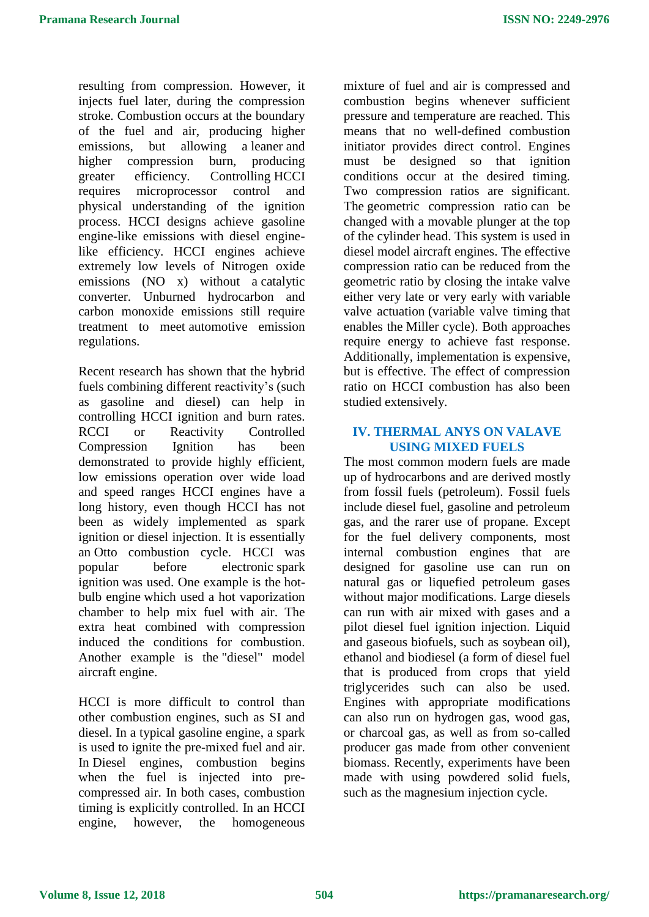resulting from compression. However, it injects fuel later, during the compression stroke. Combustion occurs at the boundary of the fuel and air, producing higher emissions, but allowing a [leaner](https://en.wikipedia.org/wiki/Lean_burn) and higher compression burn, producing greater efficiency. [Controlling](https://en.wikipedia.org/wiki/Control_theory) HCCI requires microprocessor control and physical understanding of the ignition process. HCCI designs achieve gasoline engine-like emissions with diesel enginelike efficiency. HCCI engines achieve extremely low levels of Nitrogen oxide emissions (NO x) without a catalytic [converter.](https://en.wikipedia.org/wiki/Catalytic_converter) Unburned hydrocarbon and carbon monoxide emissions still require treatment to meet [automotive emission](https://en.wikipedia.org/wiki/Automobile_emissions_control)  [regulations.](https://en.wikipedia.org/wiki/Automobile_emissions_control)

Recent research has shown that the hybrid fuels combining different reactivity's (such as gasoline and diesel) can help in controlling HCCI ignition and burn rates. RCCI or Reactivity Controlled Compression Ignition has been demonstrated to provide highly efficient, low emissions operation over wide load and speed ranges HCCI engines have a long history, even though HCCI has not been as widely implemented as spark ignition or diesel injection. It is essentially an [Otto combustion cycle.](https://en.wikipedia.org/wiki/Otto_cycle) HCCI was popular before electronic [spark](https://en.wikipedia.org/wiki/Ignition_system)  [ignition](https://en.wikipedia.org/wiki/Ignition_system) was used. One example is the [hot](https://en.wikipedia.org/wiki/Hot_bulb_engine)[bulb engine](https://en.wikipedia.org/wiki/Hot_bulb_engine) which used a hot vaporization chamber to help mix fuel with air. The extra heat combined with compression induced the conditions for combustion. Another example is the ["diesel" model](https://en.wikipedia.org/wiki/Carbureted_compression_ignition_model_engine)  [aircraft engine.](https://en.wikipedia.org/wiki/Carbureted_compression_ignition_model_engine)

HCCI is more difficult to control than other combustion engines, such as SI and diesel. In a typical [gasoline engine,](https://en.wikipedia.org/wiki/Gasoline_engine) a spark is used to ignite the pre-mixed fuel and air. In [Diesel engines,](https://en.wikipedia.org/wiki/Diesel_engines) combustion begins when the fuel is injected into precompressed air. In both cases, combustion timing is explicitly controlled. In an HCCI engine, however, the homogeneous

mixture of fuel and air is compressed and combustion begins whenever sufficient pressure and temperature are reached. This means that no well-defined combustion initiator provides direct control. Engines must be designed so that ignition conditions occur at the desired timing. Two compression ratios are significant. The [geometric compression ratio](https://en.wikipedia.org/w/index.php?title=Geometric_compression_ratio&action=edit&redlink=1) can be changed with a movable plunger at the top of the [cylinder head.](https://en.wikipedia.org/wiki/Cylinder_head) This system is used in diesel [model aircraft engines.](https://en.wikipedia.org/wiki/Model_engine) The [effective](https://en.wikipedia.org/w/index.php?title=Effective_compression_ratio&action=edit&redlink=1)  [compression ratio](https://en.wikipedia.org/w/index.php?title=Effective_compression_ratio&action=edit&redlink=1) can be reduced from the geometric ratio by closing the intake valve either very late or very early with [variable](https://en.wikipedia.org/wiki/Variable_valve_actuation)  [valve actuation](https://en.wikipedia.org/wiki/Variable_valve_actuation) [\(variable valve timing](https://en.wikipedia.org/wiki/Variable_valve_timing) that enables the [Miller cycle\)](https://en.wikipedia.org/wiki/Miller_cycle). Both approaches require energy to achieve fast response. Additionally, implementation is expensive, but is effective. The effect of compression ratio on HCCI combustion has also been studied extensively.

# **IV. THERMAL ANYS ON VALAVE USING MIXED FUELS**

The most common modern fuels are made up of hydrocarbons and are derived mostly from fossil fuels (petroleum). Fossil fuels include diesel fuel, gasoline and petroleum gas, and the rarer use of propane. Except for the fuel delivery components, most internal combustion engines that are designed for gasoline use can run on natural gas or liquefied petroleum gases without major modifications. Large diesels can run with air mixed with gases and a pilot diesel fuel ignition injection. Liquid and gaseous biofuels, such as soybean oil), ethanol and biodiesel (a form of diesel fuel that is produced from crops that yield triglycerides such can also be used. Engines with appropriate modifications can also run on hydrogen gas, wood gas, or charcoal gas, as well as from so-called producer gas made from other convenient biomass. Recently, experiments have been made with using powdered solid fuels, such as the magnesium injection cycle.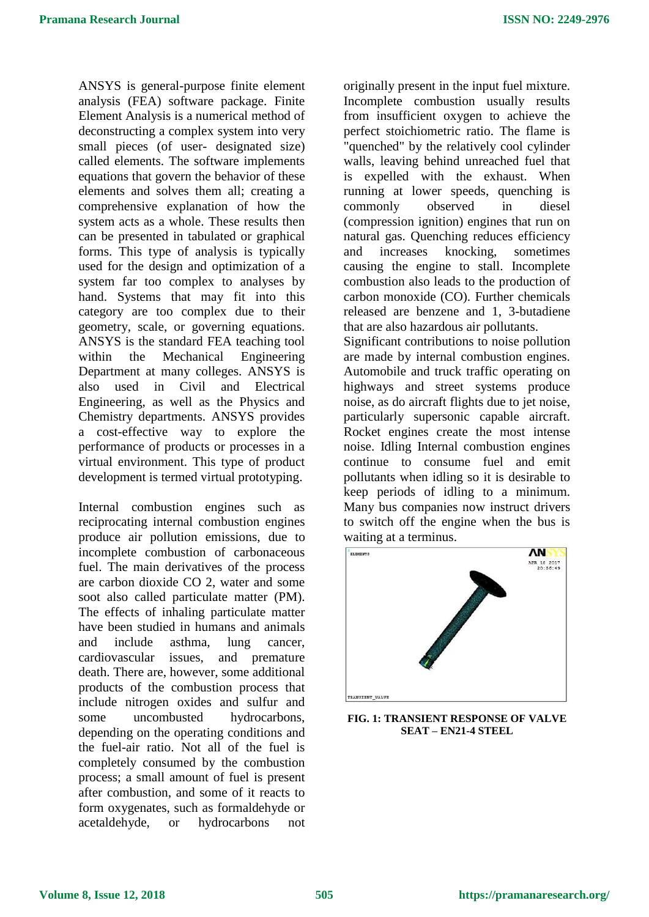ANSYS is general-purpose finite element analysis (FEA) software package. Finite Element Analysis is a numerical method of deconstructing a complex system into very small pieces (of user- designated size) called elements. The software implements equations that govern the behavior of these elements and solves them all; creating a comprehensive explanation of how the system acts as a whole. These results then can be presented in tabulated or graphical forms. This type of analysis is typically used for the design and optimization of a system far too complex to analyses by hand. Systems that may fit into this category are too complex due to their geometry, scale, or governing equations. ANSYS is the standard FEA teaching tool within the Mechanical Engineering Department at many colleges. ANSYS is also used in Civil and Electrical Engineering, as well as the Physics and Chemistry departments. ANSYS provides a cost-effective way to explore the performance of products or processes in a virtual environment. This type of product development is termed virtual prototyping.

Internal combustion engines such as reciprocating internal combustion engines produce air pollution emissions, due to incomplete combustion of carbonaceous fuel. The main derivatives of the process are carbon dioxide CO 2, water and some soot also called particulate matter (PM). The effects of inhaling particulate matter have been studied in humans and animals and include asthma, lung cancer, cardiovascular issues, and premature death. There are, however, some additional products of the combustion process that include nitrogen oxides and sulfur and some uncombusted hydrocarbons, depending on the operating conditions and the fuel-air ratio. Not all of the fuel is completely consumed by the combustion process; a small amount of fuel is present after combustion, and some of it reacts to form oxygenates, such as formaldehyde or acetaldehyde, or hydrocarbons not

originally present in the input fuel mixture. Incomplete combustion usually results from insufficient oxygen to achieve the perfect stoichiometric ratio. The flame is "quenched" by the relatively cool cylinder walls, leaving behind unreached fuel that is expelled with the exhaust. When running at lower speeds, quenching is commonly observed in diesel (compression ignition) engines that run on natural gas. Quenching reduces efficiency and increases knocking, sometimes causing the engine to stall. Incomplete combustion also leads to the production of carbon monoxide (CO). Further chemicals released are benzene and 1, 3-butadiene that are also hazardous air pollutants.

Significant contributions to noise pollution are made by internal combustion engines. Automobile and truck traffic operating on highways and street systems produce noise, as do aircraft flights due to jet noise, particularly supersonic capable aircraft. Rocket engines create the most intense noise. Idling Internal combustion engines continue to consume fuel and emit pollutants when idling so it is desirable to keep periods of idling to a minimum. Many bus companies now instruct drivers to switch off the engine when the bus is waiting at a terminus.



**FIG. 1: TRANSIENT RESPONSE OF VALVE SEAT – EN21-4 STEEL**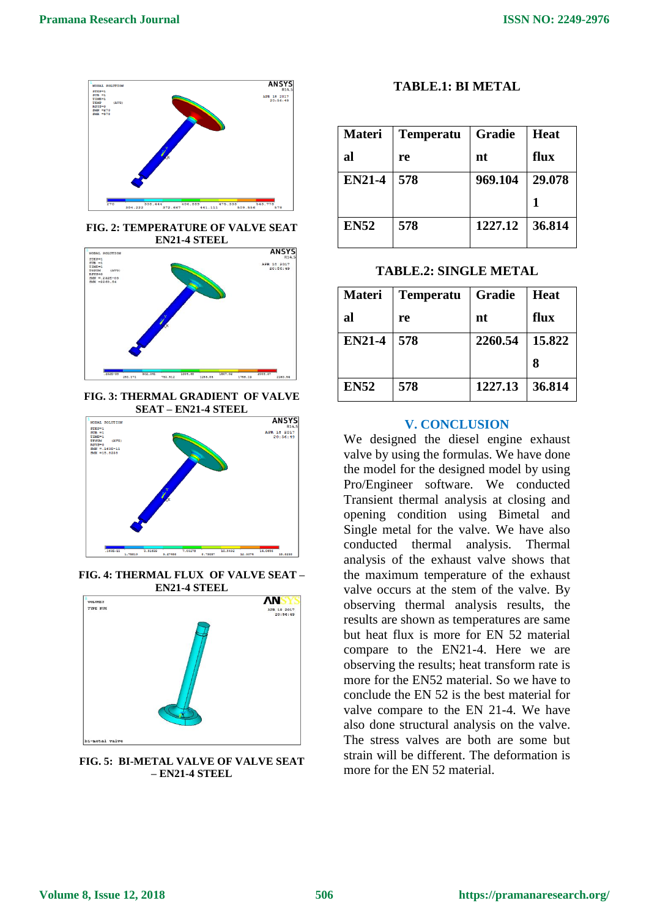

**FIG. 2: TEMPERATURE OF VALVE SEAT EN21-4 STEEL**



**FIG. 3: THERMAL GRADIENT OF VALVE SEAT – EN21-4 STEEL**



**FIG. 4: THERMAL FLUX OF VALVE SEAT – EN21-4 STEEL**



**FIG. 5: BI-METAL VALVE OF VALVE SEAT – EN21-4 STEEL**

### **TABLE.1: BI METAL**

| <b>Materi</b> | <b>Temperatu</b> | Gradie  | <b>Heat</b> |
|---------------|------------------|---------|-------------|
| al            | re               | nt      | flux        |
| <b>EN21-4</b> | 578              | 969.104 | 29.078      |
|               |                  |         |             |
| <b>EN52</b>   | 578              | 1227.12 | 36.814      |

**TABLE.2: SINGLE METAL**

| <b>Materi</b> | <b>Temperatu</b> | <b>Gradie</b> | <b>Heat</b> |
|---------------|------------------|---------------|-------------|
| al            | re               | nt            | flux        |
| <b>EN21-4</b> | 578              | 2260.54       | 15.822      |
|               |                  |               | 8           |
| <b>EN52</b>   | 578              | 1227.13       | 36.814      |

#### **V. CONCLUSION**

We designed the diesel engine exhaust valve by using the formulas. We have done the model for the designed model by using Pro/Engineer software. We conducted Transient thermal analysis at closing and opening condition using Bimetal and Single metal for the valve. We have also conducted thermal analysis. Thermal analysis of the exhaust valve shows that the maximum temperature of the exhaust valve occurs at the stem of the valve. By observing thermal analysis results, the results are shown as temperatures are same but heat flux is more for EN 52 material compare to the EN21-4. Here we are observing the results; heat transform rate is more for the EN52 material. So we have to conclude the EN 52 is the best material for valve compare to the EN 21-4. We have also done structural analysis on the valve. The stress valves are both are some but strain will be different. The deformation is more for the EN 52 material.